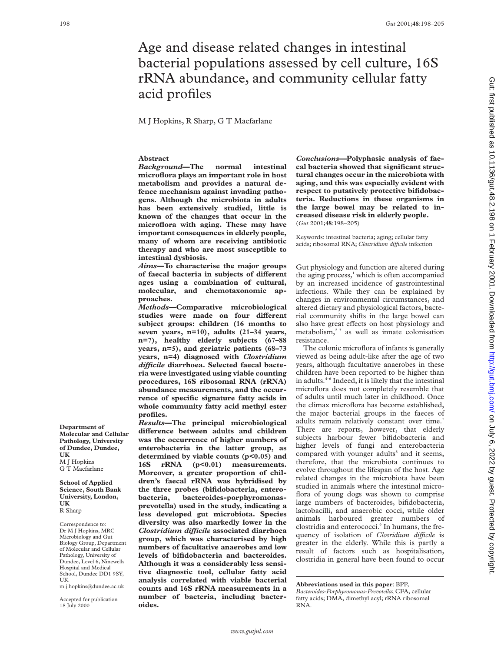# Age and disease related changes in intestinal bacterial populations assessed by cell culture, 16S rRNA abundance, and community cellular fatty acid profiles

M J Hopkins, R Sharp, G T Macfarlane

## **Abstract**

*Background***—The normal intestinal microflora plays an important role in host metabolism and provides a natural defence mechanism against invading pathogens. Although the microbiota in adults has been extensively studied, little is known of the changes that occur in the microflora with aging. These may have important consequences in elderly people, many of whom are receiving antibiotic therapy and who are most susceptible to intestinal dysbiosis.**

*Aims***—To characterise the major groups** of faecal bacteria in subjects of different **ages using a combination of cultural, molecular, and chemotaxonomic approaches.**

*Methods***—Comparative microbiological** studies were made on four different **subject groups: children (16 months to seven years, n=10), adults (21–34 years, n=7), healthy elderly subjects (67–88 years, n=5), and geriatric patients (68–73 years, n=4) diagnosed with** *Clostridium diYcile* **diarrhoea. Selected faecal bacteria were investigated using viable counting procedures, 16S ribosomal RNA (rRNA) abundance measurements, and the occurrence of specific signature fatty acids in whole community fatty acid methyl ester**

*Results***—The principal microbiological diVerence between adults and children was the occurrence of higher numbers of enterobacteria in the latter group, as determined by viable counts (p<0.05) and 16S rRNA (p<0.01) measurements. Moreover, a greater proportion of children's faecal rRNA was hybridised by the three probes (bifidobacteria, enterobacteria, bacteroides-porphyromonasprevotella) used in the study, indicating a less developed gut microbiota. Species diversity was also markedly lower in the** *Clostridium diYcile* **associated diarrhoea group, which was characterised by high numbers of facultative anaerobes and low levels of bifidobacteria and bacteroides. Although it was a considerably less sensitive diagnostic tool, cellular fatty acid analysis correlated with viable bacterial counts and 16S rRNA measurements in a number of bacteria, including bacteroides.**

*Conclusions***—Polyphasic analysis of faecal bacteria showed that significant structural changes occur in the microbiota with aging, and this was especially evident with respect to putatively protective bifidobacteria. Reductions in these organisms in the large bowel may be related to increased disease risk in elderly people.** (*Gut* 2001;**48**:198–205)

Keywords: intestinal bacteria; aging; cellular fatty acids; ribosomal RNA; *Clostridium diYcile* infection

Gut physiology and function are altered during the aging process,<sup>1</sup> which is often accompanied by an increased incidence of gastrointestinal infections. While they can be explained by changes in environmental circumstances, and altered dietary and physiological factors, bacterial community shifts in the large bowel can also have great effects on host physiology and metabolism, $2<sup>3</sup>$  as well as innate colonisation resistance.

The colonic microflora of infants is generally viewed as being adult-like after the age of two years, although facultative anaerobes in these children have been reported to be higher than in adults.<sup>4-6</sup> Indeed, it is likely that the intestinal microflora does not completely resemble that of adults until much later in childhood. Once the climax microflora has become established, the major bacterial groups in the faeces of adults remain relatively constant over time.<sup>7</sup> There are reports, however, that elderly subjects harbour fewer bifidobacteria and higher levels of fungi and enterobacteria compared with younger adults<sup>8</sup> and it seems, therefore, that the microbiota continues to evolve throughout the lifespan of the host. Age related changes in the microbiota have been studied in animals where the intestinal microflora of young dogs was shown to comprise large numbers of bacteroides, bifidobacteria, lactobacilli, and anaerobic cocci, while older animals harboured greater numbers of clostridia and enterococci.<sup>9</sup> In humans, the frequency of isolation of *Closridium difficile* is greater in the elderly. While this is partly a result of factors such as hospitalisation, clostridia in general have been found to occur

**Abbreviations used in this paper**: BPP, *Bacteroides*-*Porphyromonas*-*Prevotella*; CFA, cellular fatty acids; DMA, dimethyl acyl; rRNA ribosomal RNA.

**profiles. Molecular and Cellular Pathology, University of Dundee, Dundee,**

**School of Applied Science, South Bank University, London, UK** R Sharp

**Department of**

**UK** M J Hopkins G T Macfarlane

Correspondence to: Dr M J Hopkins, MRC Microbiology and Gut Biology Group, Department of Molecular and Cellular Pathology, University of Dundee, Level 6, Ninewells Hospital and Medical School, Dundee DD1 9SY, UK

m.j.hopkins@dundee.ac.uk

Accepted for publication 18 July 2000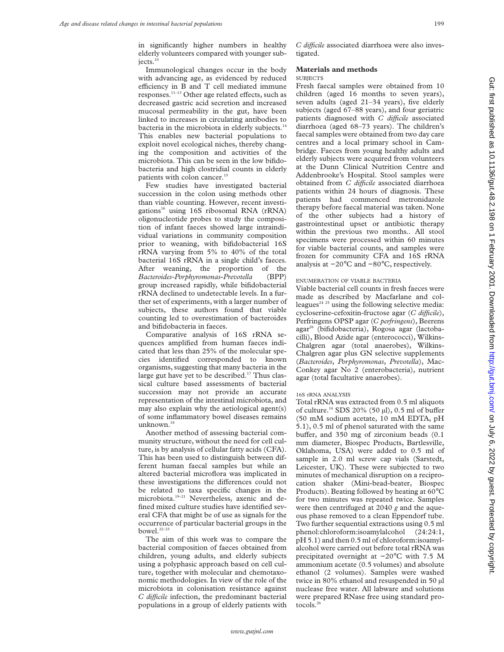in significantly higher numbers in healthy elderly volunteers compared with younger subjects.<sup>10</sup>

Immunological changes occur in the body with advancing age, as evidenced by reduced efficiency in B and T cell mediated immune responses.<sup>11-13</sup> Other age related effects, such as decreased gastric acid secretion and increased mucosal permeability in the gut, have been linked to increases in circulating antibodies to bacteria in the microbiota in elderly subjects.<sup>14</sup> This enables new bacterial populations to exploit novel ecological niches, thereby changing the composition and activities of the microbiota. This can be seen in the low bifidobacteria and high clostridial counts in elderly patients with colon cancer.<sup>15</sup>

Few studies have investigated bacterial succession in the colon using methods other than viable counting. However, recent investigations<sup>16</sup> using 16S ribosomal RNA  $(rRNA)$ oligonucleotide probes to study the composition of infant faeces showed large intraindividual variations in community composition prior to weaning, with bifidobacterial 16S rRNA varying from 5% to 40% of the total bacterial 16S rRNA in a single child's faeces. After weaning, the proportion of the *Bacteroides*-*Porphyromonas*-*Prevotella* (BPP) group increased rapidly, while bifidobacterial rRNA declined to undetectable levels. In a further set of experiments, with a larger number of subjects, these authors found that viable counting led to overestimation of bacteroides and bifidobacteria in faeces.

Comparative analysis of 16S rRNA sequences amplified from human faeces indicated that less than 25% of the molecular species identified corresponded to known organisms, suggesting that many bacteria in the large gut have yet to be described.<sup>17</sup> Thus classical culture based assessments of bacterial succession may not provide an accurate representation of the intestinal microbiota, and may also explain why the aetiological agent(s) of some inflammatory bowel diseases remains unknown.<sup>18</sup>

Another method of assessing bacterial community structure, without the need for cell culture, is by analysis of cellular fatty acids (CFA). This has been used to distinguish between different human faecal samples but while an altered bacterial microflora was implicated in these investigations the differences could not be related to taxa specific changes in the microbiota.<sup>19-21</sup> Nevertheless, axenic and defined mixed culture studies have identified several CFA that might be of use as signals for the occurrence of particular bacterial groups in the bowel.<sup>22-23</sup>

The aim of this work was to compare the bacterial composition of faeces obtained from children, young adults, and elderly subjects using a polyphasic approach based on cell culture, together with molecular and chemotaxonomic methodologies. In view of the role of the microbiota in colonisation resistance against *C diYcile* infection, the predominant bacterial populations in a group of elderly patients with

*C diYcile* associated diarrhoea were also investigated.

#### **Materials and methods SUBJECTS**

Fresh faecal samples were obtained from 10 children (aged 16 months to seven years), seven adults (aged 21–34 years), five elderly subjects (aged 67–88 years), and four geriatric patients diagnosed with *C difficile* associated diarrhoea (aged 68–73 years). The children's faecal samples were obtained from two day care centres and a local primary school in Cambridge. Faeces from young healthy adults and elderly subjects were acquired from volunteers at the Dunn Clinical Nutrition Centre and Addenbrooke's Hospital. Stool samples were obtained from *C diYcile* associated diarrhoea patients within 24 hours of diagnosis. These patients had commenced metronidazole therapy before faecal material was taken. None of the other subjects had a history of gastrointestinal upset or antibiotic therapy within the previous two months.. All stool specimens were processed within 60 minutes for viable bacterial counts, and samples were frozen for community CFA and 16S rRNA analysis at −20°C and −80°C, respectively.

# ENUMERATION OF VIABLE BACTERIA

Viable bacterial cell counts in fresh faeces were made as described by Macfarlane and colleagues<sup>24 25</sup> using the following selective media: cycloserine-cefoxitin-fructose agar (*C diYcile*), Perfringens OPSP agar (*C perfringens*), Beerens agar<sup>26</sup> (bifidobacteria), Rogosa agar (lactobacilli), Blood Azide agar (enterococci), Wilkins-Chalgren agar (total anaerobes), Wilkins-Chalgren agar plus GN selective supplements (*Bacteroides*, *Porphyromonas*, *Prevotella*), Mac-Conkey agar No 2 (enterobacteria), nutrient agar (total facultative anaerobes).

# 16S rRNA ANALYSIS

Total rRNA was extracted from 0.5 ml aliquots of culture.<sup>16</sup> SDS 20% (50  $\mu$ l), 0.5 ml of buffer (50 mM sodium acetate, 10 mM EDTA, pH 5.1), 0.5 ml of phenol saturated with the same buffer, and  $350$  mg of zirconium beads  $(0.1)$ mm diameter, Biospec Products, Bartlesville, Oklahoma, USA) were added to 0.5 ml of sample in 2.0 ml screw cap vials (Sarstedt, Leicester, UK). These were subjected to two minutes of mechanical disruption on a reciprocation shaker (Mini-bead-beater, Biospec Products). Beating followed by heating at 60°C for two minutes was repeated twice. Samples were then centrifuged at 2040 *g* and the aqueous phase removed to a clean Eppendorf tube. Two further sequential extractions using 0.5 ml phenol:chloroform:isoamylalcohol (24:24:1, pH 5.1) and then 0.5 ml of chloroform:isoamylalcohol were carried out before total rRNA was precipitated overnight at −20°C with 7.5 M ammonium acetate (0.5 volumes) and absolute ethanol (2 volumes). Samples were washed twice in 80% ethanol and resuspended in 50 µl nuclease free water. All labware and solutions were prepared RNase free using standard protocols.<sup>2</sup>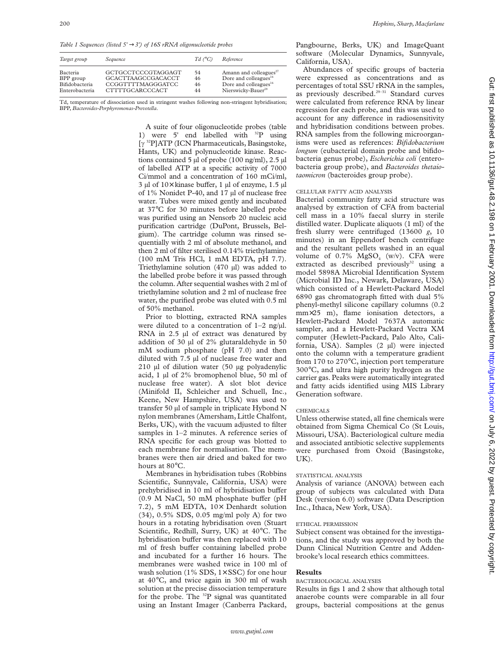*Table 1 Sequences (listed 5'* →*3') of 16S rRNA oligonucleotide probes*

| Target group   | Sequence           | $Td \, C$ | Reference                         |
|----------------|--------------------|-----------|-----------------------------------|
| Bacteria       | GCTGCCTCCCGTAGGAGT | 54        | Amann and colleagues $27$         |
| BPP group      | GCACTTAAGCCGACACCT | 46        | Dore and colleagues <sup>16</sup> |
| Bifidobacteria | CCGGTTTTMAGGGATCC  | 46        | Dore and colleagues <sup>16</sup> |
| Enterobacteria | CTTTTGCARCCCACT    | 44        | Nierswicky-Bauer <sup>28</sup>    |

Td, temperature of dissociation used in stringent washes following non-stringent hybridisation; BPP, *Bacteroides-Porphyromonas-Prevotella*.

> A suite of four oligonucleotide probes (table 1) were 5' end labelled with <sup>32</sup>P using  $[\gamma^{32}P]$ ATP (ICN Pharmaceuticals, Basingstoke, Hants, UK) and polynucleotide kinase. Reactions contained 5 µl of probe  $(100 \text{ ng/ml})$ , 2.5 µl of labelled ATP at a specific activity of 7000 Ci/mmol and a concentration of 160 mCi/ml,  $3 \text{ µ}$  of  $10 \times$  kinase buffer, 1  $\text{µ}$  of enzyme, 1.5  $\text{µ}$ of 1% Nonidet P-40, and 17 µl of nuclease free water. Tubes were mixed gently and incubated at 37°C for 30 minutes before labelled probe was purified using an Nensorb 20 nucleic acid purification cartridge (DuPont, Brussels, Belgium). The cartridge column was rinsed sequentially with 2 ml of absolute methanol, and then 2 ml of filter sterilised 0.14% triethylamine (100 mM Tris HCl, 1 mM EDTA, pH 7.7). Triethylamine solution (470 µl) was added to the labelled probe before it was passed through the column. After sequential washes with 2 ml of triethylamine solution and 2 ml of nuclease free water, the purified probe was eluted with 0.5 ml of 50% methanol.

> Prior to blotting, extracted RNA samples were diluted to a concentration of  $1-2$  ng/ $\mu$ l. RNA in 2.5 µl of extract was denatured by addition of 30 µl of 2% glutaraldehyde in 50 mM sodium phosphate (pH 7.0) and then diluted with 7.5 µl of nuclease free water and 210 µl of dilution water (50 µg polyadenylic acid, 1 µl of 2% bromophenol blue, 50 ml of nuclease free water). A slot blot device (Minifold II, Schleicher and Schuell, Inc., Keene, New Hampshire, USA) was used to transfer 50 µl of sample in triplicate Hybond N nylon membranes (Amersham, Little Chalfont, Berks, UK), with the vacuum adjusted to filter samples in 1–2 minutes. A reference series of RNA specific for each group was blotted to each membrane for normalisation. The membranes were then air dried and baked for two hours at 80°C.

> Membranes in hybridisation tubes (Robbins Scientific, Sunnyvale, California, USA) were prehybridised in 10 ml of hybridisation buffer  $(0.9 \text{ M NaCl}, 50 \text{ mM phosphate buffer (pH})$ 7.2), 5 mM EDTA, 10× Denhardt solution (34), 0.5% SDS, 0.05 mg/ml poly A) for two hours in a rotating hybridisation oven (Stuart Scientific, Redhill, Surry, UK) at 40°C. The hybridisation buffer was then replaced with 10 ml of fresh buffer containing labelled probe and incubated for a further 16 hours. The membranes were washed twice in 100 ml of wash solution (1% SDS,  $1 \times$  SSC) for one hour at 40°C, and twice again in 300 ml of wash solution at the precise dissociation temperature for the probe. The 32P signal was quantitated using an Instant Imager (Canberra Packard,

Pangbourne, Berks, UK) and ImageQuant software (Molecular Dynamics, Sunnyvale, California, USA).

Abundances of specific groups of bacteria were expressed as concentrations and as percentages of total SSU rRNA in the samples, as previously described.<sup>29-31</sup> Standard curves were calculated from reference RNA by linear regression for each probe, and this was used to account for any difference in radiosensitivity and hybridisation conditions between probes. RNA samples from the following microorganisms were used as references: *Bifidobacterium longum* (eubacterial domain probe and bifidobacteria genus probe), *Escherichia coli* (enterobacteria group probe), and *Bacteroides thetaiotaomicron* (bacteroides group probe).

#### CELLULAR FATTY ACID ANALYSIS

Bacterial community fatty acid structure was analysed by extraction of CFA from bacterial cell mass in a 10% faecal slurry in sterile distilled water. Duplicate aliquots (1 ml) of the fresh slurry were centrifuged (13600 *g*, 10 minutes) in an Eppendorf bench centrifuge and the resultant pellets washed in an equal volume of  $0.7\%$  MgSO<sub>4</sub> (w/v). CFA were extracted as described previously<sup>32</sup> using a model 5898A Microbial Identification System (Microbial ID Inc., Newark, Delaware, USA) which consisted of a Hewlett-Packard Model 6890 gas chromatograph fitted with dual 5% phenyl-methyl silicone capillary columns (0.2 mm×25 m), flame ionisation detectors, a Hewlett-Packard Model 7637A automatic sampler, and a Hewlett-Packard Vectra XM computer (Hewlett-Packard, Palo Alto, California, USA). Samples (2 µl) were injected onto the column with a temperature gradient from 170 to 270°C, injection port temperature 300°C, and ultra high purity hydrogen as the carrier gas. Peaks were automatically integrated and fatty acids identified using MIS Library Generation software.

#### CHEMICALS

Unless otherwise stated, all fine chemicals were obtained from Sigma Chemical Co (St Louis, Missouri, USA). Bacteriological culture media and associated antibiotic selective supplements were purchased from Oxoid (Basingstoke, UK).

## STATISTICAL ANALYSIS

Analysis of variance (ANOVA) between each group of subjects was calculated with Data Desk (version 6.0) software (Data Description Inc., Ithaca, New York, USA).

# ETHICAL PERMISSION

Subject consent was obtained for the investigations, and the study was approved by both the Dunn Clinical Nutrition Centre and Addenbrooke's local research ethics committees.

### **Results**

## BACTERIOLOGICAL ANALYSES

Results in figs 1 and 2 show that although total anaerobe counts were comparable in all four groups, bacterial compositions at the genus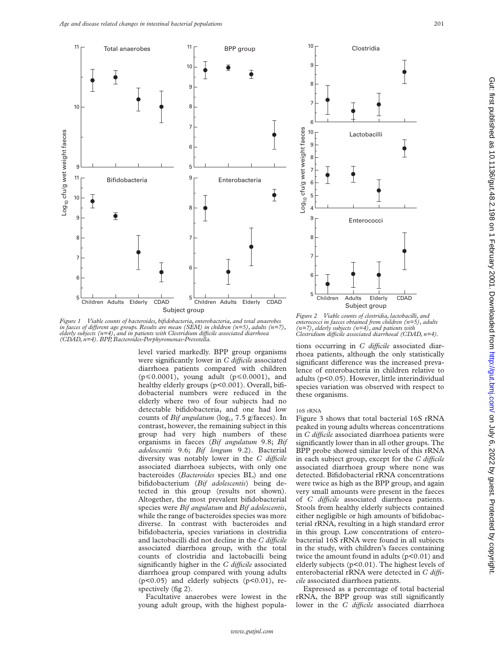

*Figure 1 Viable counts of bacteroides, bifidobacteria, enterobacteria, and total anaerobes in faeces of diVerent age groups. Results are mean (SEM) in children (n=5), adults (n=7), elderly subjects (n=4), and in patients with Clostridium diYcile associated diarrhoea (CDAD, n=4). BPP, Bacteroides-Porphyromonas-Prevotella.*

level varied markedly. BPP group organisms were significantly lower in *C diYcile* associated diarrhoea patients compared with children  $(p \le 0.0001)$ , young adult  $(p \le 0.0001)$ , and healthy elderly groups (p<0.001). Overall, bifidobacterial numbers were reduced in the elderly where two of four subjects had no detectable bifidobacteria, and one had low counts of *Bif angulatum* (log<sub>10</sub> 7.5 g/faeces). In contrast, however, the remaining subject in this group had very high numbers of these organisms in faeces (*Bif angulatum* 9.8; *Bif adolescentis* 9.6; *Bif longum* 9.2). Bacterial diversity was notably lower in the *C diYcile* associated diarrhoea subjects, with only one bacteroides (*Bacteroides* species BL) and one bifidobacterium (*Bif adolescentis*) being detected in this group (results not shown). Altogether, the most prevalent bifidobacterial species were *Bif angulatum* and *Bif adolescentis*, while the range of bacteroides species was more diverse. In contrast with bacteroides and bifidobacteria, species variations in clostridia and lactobacilli did not decline in the *C difficile* associated diarrhoea group, with the total counts of clostridia and lactobacilli being significantly higher in the *C diYcile* associated diarrhoea group compared with young adults  $(p<0.05)$  and elderly subjects  $(p<0.01)$ , respectively (fig 2).

Facultative anaerobes were lowest in the young adult group, with the highest popula-



*Figure 2 Viable counts of clostridia, lactobacilli, and enterococci in faeces obtained from children (n=5), adults (n=7), elderly subjects (n=4), and patients with Clostridium diYcile associated diarrhoeal (CDAD, n=4).*

tions occurring in *C diYcile* associated diarrhoea patients, although the only statistically significant difference was the increased prevalence of enterobacteria in children relative to adults (p<0.05). However, little interindividual species variation was observed with respect to these organisms.

#### 16S rRNA

Figure 3 shows that total bacterial 16S rRNA peaked in young adults whereas concentrations in *C diYcile* associated diarrhoea patients were significantly lower than in all other groups. The BPP probe showed similar levels of this rRNA in each subject group, except for the *C difficile* associated diarrhoea group where none was detected. Bifidobacterial rRNA concentrations were twice as high as the BPP group, and again very small amounts were present in the faeces of *C diYcile* associated diarrhoea patients. Stools from healthy elderly subjects contained either negligible or high amounts of bifidobacterial rRNA, resulting in a high standard error in this group. Low concentrations of enterobacterial 16S rRNA were found in all subjects in the study, with children's faeces containing twice the amount found in adults  $(p<0.01)$  and elderly subjects (p<0.01). The highest levels of enterobacterial rRNA were detected in *C difficile* associated diarrhoea patients.

Expressed as a percentage of total bacterial rRNA, the BPP group was still significantly lower in the *C difficile* associated diarrhoea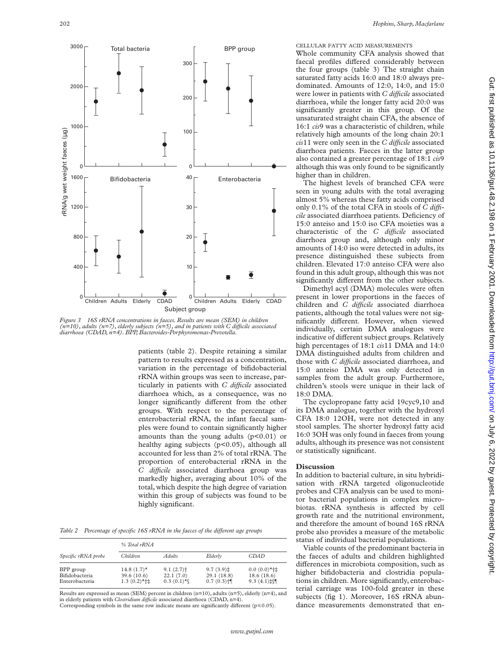

*Figure 3 16S rRNA concentrations in faeces. Results are mean (SEM) in children (n=10), adults (n=7), elderly subjects (n=5), and in patients with C diYcile associated diarrhoea (CDAD, n=4). BPP, Bacteroides-Porphyromonas-Prevotella.*

patients (table 2). Despite retaining a similar pattern to results expressed as a concentration, variation in the percentage of bifidobacterial rRNA within groups was seen to increase, particularly in patients with *C diYcile* associated diarrhoea which, as a consequence, was no longer significantly different from the other groups. With respect to the percentage of enterobacterial rRNA, the infant faecal samples were found to contain significantly higher amounts than the young adults  $(p<0.01)$  or healthy aging subjects (p<0.05), although all accounted for less than 2% of total rRNA. The proportion of enterobacterial rRNA in the *C diYcile* associated diarrhoea group was markedly higher, averaging about 10% of the total, which despite the high degree of variation within this group of subjects was found to be highly significant.

*Table 2 Percentage of specific 16S rRNA in the faeces of the different age groups* 

|                                               | % Total rRNA                                  |                                                  |                                                                 |                                                                    |  |
|-----------------------------------------------|-----------------------------------------------|--------------------------------------------------|-----------------------------------------------------------------|--------------------------------------------------------------------|--|
| Specific rRNA probe                           | <i>Children</i>                               | <i>Adults</i>                                    | Elderly                                                         | <i>CDAD</i>                                                        |  |
| BPP group<br>Bifidobacteria<br>Enterobacteria | $14.8(1.7)$ *<br>39.6(10.6)<br>$1.3(0.2)$ *†‡ | 9.1(2.7)<br>22.1(7.0)<br>$0.3(0.1)$ <sup>*</sup> | $9.7(3.9)$ $\ddagger$<br>29.1 (18.8)<br>$0.7(0.3)$ <sup>+</sup> | $0.0(0.0)$ *†‡<br>18.6(18.6)<br>$9.3(4.1)\text{\text{*}}\text{\%}$ |  |

Results are expressed as mean (SEM) percent in children (n=10), adults (n=5), elderly (n=4), and in elderly patients with *Clostridium difficile* associated diarrhoea (CDAD, n=4). Corresponding symbols in the same row indicate means are significantly different ( $p \le 0.05$ ).

CELLULAR FATTY ACID MEASUREMENTS

Whole community CFA analysis showed that faecal profiles differed considerably between the four groups (table 3) The straight chain saturated fatty acids 16:0 and 18:0 always predominated. Amounts of 12:0, 14:0, and 15:0 were lower in patients with *C difficile* associated diarrhoea, while the longer fatty acid 20:0 was significantly greater in this group. Of the unsaturated straight chain CFA, the absence of 16:1 *cis*9 was a characteristic of children, while relatively high amounts of the long chain 20:1 *cis*11 were only seen in the *C diYcile* associated diarrhoea patients. Faeces in the latter group also contained a greater percentage of 18:1 *cis*9 although this was only found to be significantly higher than in children.

The highest levels of branched CFA were seen in young adults with the total averaging almost 5% whereas these fatty acids comprised only 0.1% of the total CFA in stools of *C diYcile* associated diarrhoea patients. Deficiency of 15:0 anteiso and 15:0 iso CFA moieties was a characteristic of the *C diYcile* associated diarrhoea group and, although only minor amounts of 14:0 iso were detected in adults, its presence distinguished these subjects from children. Elevated 17:0 anteiso CFA were also found in this adult group, although this was not significantly different from the other subjects.

Dimethyl acyl (DMA) molecules were often present in lower proportions in the faeces of children and *C diYcile* associated diarrhoea patients, although the total values were not significantly different. However, when viewed individually, certain DMA analogues were indicative of different subject groups. Relatively high percentages of 18:1 *cis*11 DMA and 14:0 DMA distinguished adults from children and those with *C diYcile* associated diarrhoea, and 15:0 anteiso DMA was only detected in samples from the adult group. Furthermore, children's stools were unique in their lack of 18:0 DMA.

The cyclopropane fatty acid 19cyc9,10 and its DMA analogue, together with the hydroxyl CFA 18:0 12OH, were not detected in any stool samples. The shorter hydroxyl fatty acid 16:0 3OH was only found in faeces from young adults, although its presence was not consistent or statistically significant.

# **Discussion**

In addition to bacterial culture, in situ hybridisation with rRNA targeted oligonucleotide probes and CFA analysis can be used to monitor bacterial populations in complex microbiotas. rRNA synthesis is affected by cell growth rate and the nutritional environment, and therefore the amount of bound 16S rRNA probe also provides a measure of the metabolic status of individual bacterial populations.

Viable counts of the predominant bacteria in the faeces of adults and children highlighted differences in microbiota composition, such as higher bifidobacteria and clostridia populations in children. More significantly, enterobacterial carriage was 100-fold greater in these subjects (fig 1). Moreover, 16S rRNA abundance measurements demonstrated that en-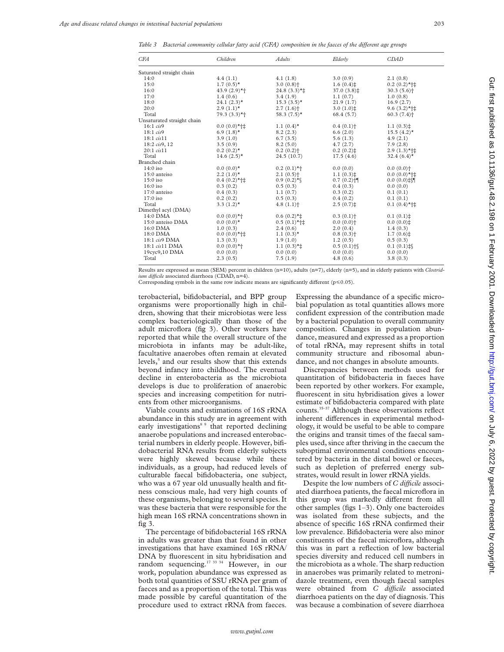*Table 3 Bacterial community cellular fatty acid (CFA) composition in the faeces of the different age groups* 

| CFA                        | Children                 | Adults                  | Elderly                  | <b>CDAD</b>              |  |  |  |  |
|----------------------------|--------------------------|-------------------------|--------------------------|--------------------------|--|--|--|--|
| Saturated straight chain   |                          |                         |                          |                          |  |  |  |  |
| 14:0                       | 4.4(1.1)                 | 4.1(1.8)                | 3.0(0.9)                 | 2.1(0.8)                 |  |  |  |  |
| 15:0                       | $1.7(0.5)$ *             | $3.0(0.8)$ <sup>+</sup> | $1.6(0.4)$ ‡             | $0.2(0.2)$ *†‡           |  |  |  |  |
| 16:0                       | 43.9 $(2.9)$ *†          | $24.8(3.3)$ *‡          | $37.0(3.8)$ ‡            | $30.3(5.6)$ <sup>+</sup> |  |  |  |  |
| 17:0                       | 1.4(0.6)                 | 3.4(1.9)                | 1.1(0.7)                 | 1.0(0.8)                 |  |  |  |  |
| 18:0                       | $24.1 (2.3)$ *           | $15.3(3.5)$ *           | 21.9(1.7)                | 16.9(2.7)                |  |  |  |  |
| 20:0                       | $2.9(1.1)$ *             | $2.7(1.6)$ <sup>+</sup> | $3.0(1.0)$ ‡             | $9.6(3.2)$ *†‡           |  |  |  |  |
| Total                      | $79.3(3.3)$ *†           | $58.3(7.5)$ *           | 68.4(5.7)                | $60.3(7.4)$ <sup>+</sup> |  |  |  |  |
| Unsaturated straight chain |                          |                         |                          |                          |  |  |  |  |
| $16:1$ $cis9$              | $0.0(0.0)*+1$            | 1.1 $(0.4)^*$           | $0.4(0.1)$ <sup>+</sup>  | $1.1(0.3)$ $\ddagger$    |  |  |  |  |
| $18:1$ $cis9$              | $6.9(1.8)$ *             | 8.2(2.3)                | 6.6(2.0)                 | $15.5(4.2)$ *            |  |  |  |  |
| $18:1$ $cis11$             | 3.9(1.0)                 | 6.7(3.5)                | 5.6(1.3)                 | 4.9(2.1)                 |  |  |  |  |
| 18:2 cis9, 12              | 3.5(0.9)                 | 8.2(5.0)                | 4.7(2.7)                 | 7.9(2.8)                 |  |  |  |  |
| $20:1$ $cis11$             | $0.2(0.2)$ *             | $0.2(0.2)$ <sup>+</sup> | $0.2(0.2)$ ‡             | $2.9(1.3)$ *†‡           |  |  |  |  |
| Total                      | $14.6(2.5)$ *            | 24.5(10.7)              | 17.5(4.6)                | 32.4 $(6.4)$ *           |  |  |  |  |
| Branched chain             |                          |                         |                          |                          |  |  |  |  |
| $14:0$ iso                 | $0.0(0.0)$ <sup>*</sup>  | $0.2(0.1)$ *†           | 0.0(0.0)                 | $0.0(0.0)$ <sup>+</sup>  |  |  |  |  |
| 15:0 anteiso               | $2.2(1.0)$ *             | $2.1(0.5)$ <sup>+</sup> | $1.1(0.3)$ $\ddagger$    | $0.0(0.0)*+1$            |  |  |  |  |
| $15:0$ iso                 | $0.4(0.2)*+1$            | $0.9(0.2)$ <sup>*</sup> | $0.7(0.2)$ <sup>-4</sup> | $0.0(0.0)$ $\sqrt[6]{ }$ |  |  |  |  |
| $16:0$ iso                 | 0.3(0.2)                 | 0.5(0.3)                | 0.4(0.3)                 | 0.0(0.0)                 |  |  |  |  |
| 17:0 anteiso               | 0.4(0.3)                 | 1.1(0.7)                | 0.3(0.2)                 | 0.1(0.1)                 |  |  |  |  |
| 17:0 iso                   | 0.2(0.2)                 | 0.5(0.3)                | 0.4(0.2)                 | 0.1(0.1)                 |  |  |  |  |
| Total                      | 3.3 $(1.2)$ <sup>*</sup> | $4.8(1.1)$ <sup>+</sup> | $2.5(0.7)$ ‡             | $0.1(0.4)$ *†‡           |  |  |  |  |
| Dimethyl acyl (DMA)        |                          |                         |                          |                          |  |  |  |  |
| 14:0 DMA                   | $0.0(0.0)*+$             | $0.6(0.2)$ *‡           | $0.3(0.1)$ <sup>+</sup>  | $0.1(0.1)$ $\ddagger$    |  |  |  |  |
| 15:0 anteiso DMA           | $0.0(0.0)$ *             | $0.5(0.1)$ *†‡          | $0.0(0.0)$ <sup>+</sup>  | $0.0(0.0)$ ‡             |  |  |  |  |
| 16:0 DMA                   | 1.0(0.3)                 | 2.4(0.6)                | 2.0(0.4)                 | 1.4(0.3)                 |  |  |  |  |
| 18:0 DMA                   | $0.0(0.0)*+1$            | $1.1(0.3)$ *            | $0.8(0.3)$ <sup>+</sup>  | $1.7(0.6)$ $\ddagger$    |  |  |  |  |
| 18:1 cis9 DMA              | 1.3(0.3)                 | 1.9(1.0)                | 1.2(0.5)                 | 0.5(0.3)                 |  |  |  |  |
| 18:1 <i>cis</i> 11 DMA     | $0.0(0.0)$ *†            | $1.1(0.3)$ *‡           | $0.5(0.1)$ <sup>{</sup>  | $0.1(0.1)$ $\sharp$      |  |  |  |  |
| 19cvc9,10 DMA              | 0.0(0.0)                 | 0.0(0.0)                | 0.0(0.0)                 | 0.0(0.0)                 |  |  |  |  |
| Total                      | 2.3(0.5)                 | 7.5(1.9)                | 4.8(0.6)                 | 3.8(0.3)                 |  |  |  |  |

Results are expressed as mean (SEM) percent in children (n=10), adults (n=7), elderly (n=5), and in elderly patients with *Clostridium difficile* associated diarrhoea (CDAD, n=4).

Corresponding symbols in the same row indicate means are significantly different ( $p \le 0.05$ ).

terobacterial, bifidobacterial, and BPP group organisms were proportionally high in children, showing that their microbiotas were less complex bacteriologically than those of the adult microflora (fig 3). Other workers have reported that while the overall structure of the microbiota in infants may be adult-like, facultative anaerobes often remain at elevated levels,<sup>5</sup> and our results show that this extends beyond infancy into childhood. The eventual decline in enterobacteria as the microbiota develops is due to proliferation of anaerobic species and increasing competition for nutrients from other microorganisms.

Viable counts and estimations of 16S rRNA abundance in this study are in agreement with early investigations<sup>8</sup> <sup>9</sup> that reported declining anaerobe populations and increased enterobacterial numbers in elderly people. However, bifidobacterial RNA results from elderly subjects were highly skewed because while these individuals, as a group, had reduced levels of culturable faecal bifidobacteria, one subject, who was a 67 year old unusually health and fitness conscious male, had very high counts of these organisms, belonging to several species. It was these bacteria that were responsible for the high mean 16S rRNA concentrations shown in fig 3.

The percentage of bifidobacterial 16S rRNA in adults was greater than that found in other investigations that have examined 16S rRNA/ DNA by fluorescent in situ hybridisation and random sequencing.17 33 34 However, in our work, population abundance was expressed as both total quantities of SSU rRNA per gram of faeces and as a proportion of the total. This was made possible by careful quantitation of the procedure used to extract rRNA from faeces.

Expressing the abundance of a specific microbial population as total quantities allows more confident expression of the contribution made by a bacterial population to overall community composition. Changes in population abundance, measured and expressed as a proportion of total rRNA, may represent shifts in total community structure and ribosomal abundance, and not changes in absolute amounts.

Discrepancies between methods used for quantitation of bifidobacteria in faeces have been reported by other workers. For example, fluorescent in situ hybridisation gives a lower estimate of bifidobacteria compared with plate counts.35–37 Although these observations reflect inherent differences in experimental methodology, it would be useful to be able to compare the origins and transit times of the faecal samples used, since after thriving in the caecum the suboptimal environmental conditions encountered by bacteria in the distal bowel or faeces, such as depletion of preferred energy substrates, would result in lower rRNA yields.

Despite the low numbers of *C diYcile* associated diarrhoea patients, the faecal microflora in this group was markedly different from all other samples (figs 1–3). Only one bacteroides was isolated from these subjects, and the absence of specific 16S rRNA confirmed their low prevalence. Bifidobacteria were also minor constituents of the faecal microflora, although this was in part a reflection of low bacterial species diversity and reduced cell numbers in the microbiota as a whole. The sharp reduction in anaerobes was primarily related to metronidazole treatment, even though faecal samples were obtained from *C diYcile* associated diarrhoea patients on the day of diagnosis. This was because a combination of severe diarrhoea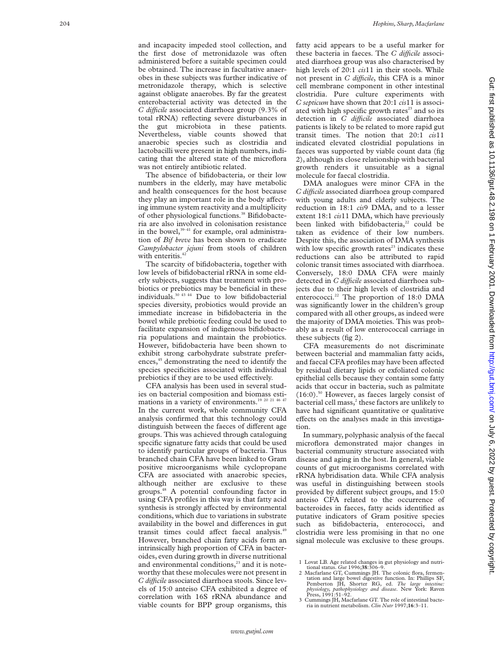and incapacity impeded stool collection, and the first dose of metronidazole was often administered before a suitable specimen could be obtained. The increase in facultative anaerobes in these subjects was further indicative of metronidazole therapy, which is selective against obligate anaerobes. By far the greatest enterobacterial activity was detected in the *C diYcile* associated diarrhoea group (9.3% of total rRNA) reflecting severe disturbances in the gut microbiota in these patients. Nevertheless, viable counts showed that anaerobic species such as clostridia and lactobacilli were present in high numbers, indicating that the altered state of the microflora was not entirely antibiotic related.

The absence of bifidobacteria, or their low numbers in the elderly, may have metabolic and health consequences for the host because they play an important role in the body affecting immune system reactivity and a multiplicity of other physiological functions.<sup>38</sup> Bifidobacteria are also involved in colonisation resistance in the bowel, $39-41$  for example, oral administration of *Bif breve* has been shown to eradicate *Campylobacter jejuni* from stools of children with enteritis.<sup>42</sup>

The scarcity of bifidobacteria, together with low levels of bifidobacterial rRNA in some elderly subjects, suggests that treatment with probiotics or prebiotics may be beneficial in these individuals.30 43 44 Due to low bifidobacterial species diversity, probiotics would provide an immediate increase in bifidobacteria in the bowel while prebiotic feeding could be used to facilitate expansion of indigenous bifidobacteria populations and maintain the probiotics. However, bifidobacteria have been shown to exhibit strong carbohydrate substrate preferences,<sup>45</sup> demonstrating the need to identify the species specificities associated with individual prebiotics if they are to be used effectively.

CFA analysis has been used in several studies on bacterial composition and biomass estimations in a variety of environments.19 20 21 46 47 In the current work, whole community CFA analysis confirmed that this technology could distinguish between the faeces of different age groups. This was achieved through cataloguing specific signature fatty acids that could be used to identify particular groups of bacteria. Thus branched chain CFA have been linked to Gram positive microorganisms while cyclopropane CFA are associated with anaerobic species, although neither are exclusive to these groups.48 A potential confounding factor in using CFA profiles in this way is that fatty acid synthesis is strongly affected by environmental conditions, which due to variations in substrate availability in the bowel and differences in gut transit times could affect faecal analysis.<sup>49</sup> However, branched chain fatty acids form an intrinsically high proportion of CFA in bacteroides, even during growth in diverse nutritional and environmental conditions,<sup>23</sup> and it is noteworthy that these molecules were not present in *C diYcile* associated diarrhoea stools. Since levels of 15:0 anteiso CFA exhibited a degree of correlation with 16S rRNA abundance and viable counts for BPP group organisms, this

fatty acid appears to be a useful marker for these bacteria in faeces. The *C diYcile* associated diarrhoea group was also characterised by high levels of 20:1 *cis*11 in their stools. While not present in *C diYcile*, this CFA is a minor cell membrane component in other intestinal clostridia. Pure culture experiments with *C septicum* have shown that 20:1 *cis*11 is associated with high specific growth rates $^{23}$  and so its detection in *C diYcile* associated diarrhoea patients is likely to be related to more rapid gut transit times. The notion that 20:1 *cis*11 indicated elevated clostridial populations in faeces was supported by viable count data (fig 2), although its close relationship with bacterial growth renders it unsuitable as a signal molecule for faecal clostridia.

DMA analogues were minor CFA in the *C diYcile* associated diarrhoea group compared with young adults and elderly subjects. The reduction in 18:1 *cis*9 DMA, and to a lesser extent 18:1 *cis*11 DMA, which have previously been linked with bifidobacteria,<sup>22</sup> could be taken as evidence of their low numbers. Despite this, the association of DMA synthesis with low specific growth rates $23$  indicates these reductions can also be attributed to rapid colonic transit times associated with diarrhoea. Conversely, 18:0 DMA CFA were mainly detected in *C diYcile* associated diarrhoea subjects due to their high levels of clostridia and enterococci.<sup>22</sup> The proportion of 18:0 DMA was significantly lower in the children's group compared with all other groups, as indeed were the majority of DMA moieties. This was probably as a result of low enterococcal carriage in these subjects (fig 2).

CFA measurements do not discriminate between bacterial and mammalian fatty acids, and faecal CFA profiles may have been affected by residual dietary lipids or exfoliated colonic epithelial cells because they contain some fatty acids that occur in bacteria, such as palmitate (16:0).50 However, as faeces largely consist of bacterial cell mass, <sup>2</sup> these factors are unlikely to have had significant quantitative or qualitative effects on the analyses made in this investigation.

In summary, polyphasic analysis of the faecal microflora demonstrated major changes in bacterial community structure associated with disease and aging in the host. In general, viable counts of gut microorganisms correlated with rRNA hybridisation data. While CFA analysis was useful in distinguishing between stools provided by different subject groups, and 15:0 anteiso CFA related to the occurrence of bacteroides in faeces, fatty acids identified as putative indicators of Gram positive species such as bifidobacteria, enterococci, and clostridia were less promising in that no one signal molecule was exclusive to these groups.

- 2 Macfarlane GT, Cummings JH. The colonic flora, fermentation and large bowel digestive function. In: Phillips SF, Pemberton JH, Shorter RG, ed. *The large intestine: physiology, pathophysiology and disease.* New York: Raven Press, 1991:51–92.
- 3 Cummings JH, Macfarlane GT. The role of intestinal bacteria in nutrient metabolism. *Clin Nutr* 1997;**16**:3–11.

<sup>1</sup> Lovat LB. Age related changes in gut physiology and nutri-tional status. *Gut* 1996;**38**:306–9.